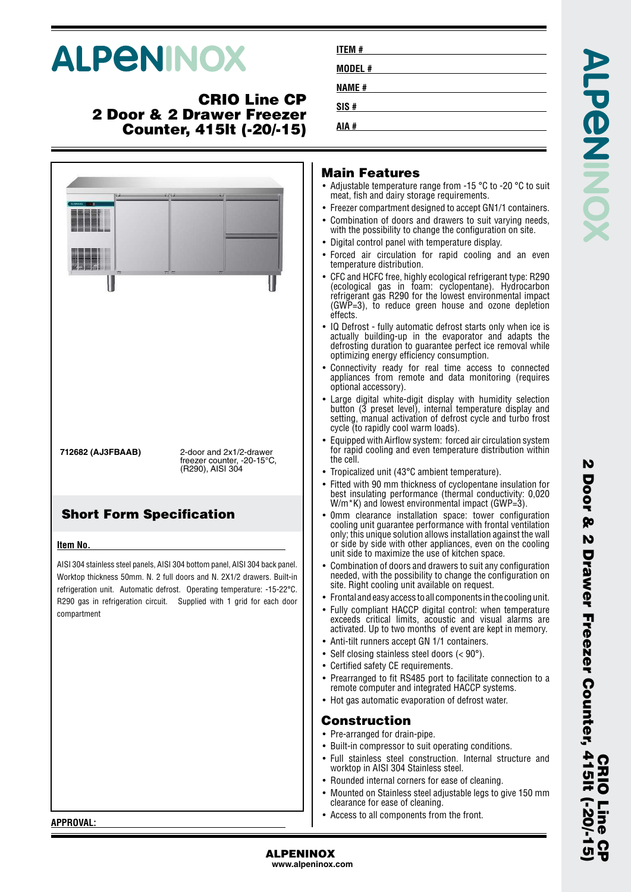# **ALPENINOX**

## **CRIO Line CP 2 Door & 2 Drawer Freezer Counter, 415lt (-20/-15)**



| ITEM #  |
|---------|
| MODEL # |
| NAME #  |
| SIS #   |
| AIA #   |
|         |

## **Main Features**

**AIA #**

- Adjustable temperature range from -15 °C to -20 °C to suit meat, fish and dairy storage requirements.
- Freezer compartment designed to accept GN1/1 containers.
- • Combination of doors and drawers to suit varying needs, with the possibility to change the configuration on site.
- Digital control panel with temperature display.
- • Forced air circulation for rapid cooling and an even temperature distribution.
- • CFC and HCFC free, highly ecological refrigerant type: R290 (ecological gas in foam: cyclopentane). Hydrocarbon refrigerant gas R290 for the lowest environmental impact (GWP=3), to reduce green house and ozone depletion effects.
- • IQ Defrost - fully automatic defrost starts only when ice is actually building-up in the evaporator and adapts the defrosting duration to guarantee perfect ice removal while optimizing energy efficiency consumption.
- • Connectivity ready for real time access to connected appliances from remote and data monitoring (requires optional accessory).
- • Large digital white-digit display with humidity selection button (3 preset level), internal temperature display and setting, manual activation of defrost cycle and turbo frost cycle (to rapidly cool warm loads).
- • Equipped with Airflow system: forced air circulation system for rapid cooling and even temperature distribution within the cell.
- Tropicalized unit (43°C ambient temperature).
- • Fitted with 90 mm thickness of cyclopentane insulation for best insulating performance (thermal conductivity: 0,020 W/m<sup>\*</sup>K) and lowest environmental impact (GWP=3).
- • 0mm clearance installation space: tower configuration cooling unit guarantee performance with frontal ventilation only; this unique solution allows installation against the wall or side by side with other appliances, even on the cooling unit side to maximize the use of kitchen space.
- • Combination of doors and drawers to suit any configuration needed, with the possibility to change the configuration on site. Right cooling unit available on request.
- Frontal and easy access to all components in the cooling unit.
- • Fully compliant HACCP digital control: when temperature exceeds critical limits, acoustic and visual alarms are activated. Up to two months of event are kept in memory.
- •Anti-tilt runners accept GN 1/1 containers.
- Self closing stainless steel doors (< 90°).
- Certified safety CE requirements.
- • Prearranged to fit RS485 port to facilitate connection to a remote computer and integrated HACCP systems.
- Hot gas automatic evaporation of defrost water.

## **Construction**

- Pre-arranged for drain-pipe.
- Built-in compressor to suit operating conditions.
- Full stainless steel construction. Internal structure and worktop in AISI 304 Stainless steel.
- Rounded internal corners for ease of cleaning.
- • Mounted on Stainless steel adjustable legs to give 150 mm clearance for ease of cleaning.
- Access to all components from the front.

N

**APPROVAL:**

**ALPENINOX**

**www.alpeninox.com**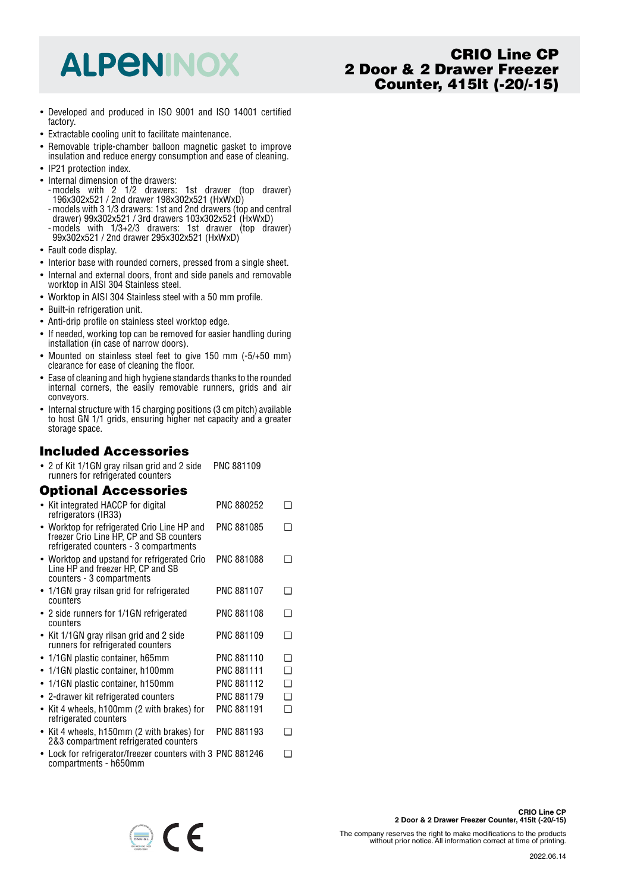## **ALPENINOX**

## **CRIO Line CP 2 Door & 2 Drawer Freezer Counter, 415lt (-20/-15)**

- Developed and produced in ISO 9001 and ISO 14001 certified factory.
- Extractable cooling unit to facilitate maintenance.
- Removable triple-chamber balloon magnetic gasket to improve insulation and reduce energy consumption and ease of cleaning.
- IP21 protection index.
- Internal dimension of the drawers:
- -models with 2 1/2 drawers: 1st drawer (top drawer) 196x302x521 / 2nd drawer 198x302x521 (HxWxD)
- -models with 3 1/3 drawers: 1st and 2nd drawers (top and central drawer) 99x302x521 / 3rd drawers 103x302x521 (HxWxD) -models with 1/3+2/3 drawers: 1st drawer (top drawer)
- 99x302x521 / 2nd drawer 295x302x521 (HxWxD)
- Fault code display.
- Interior base with rounded corners, pressed from a single sheet.
- Internal and external doors, front and side panels and removable worktop in AISI 304 Stainless steel.
- Worktop in AISI 304 Stainless steel with a 50 mm profile.
- Built-in refrigeration unit.
- Anti-drip profile on stainless steel worktop edge.
- If needed, working top can be removed for easier handling during installation (in case of narrow doors).
- Mounted on stainless steel feet to give 150 mm (-5/+50 mm) clearance for ease of cleaning the floor.
- Ease of cleaning and high hygiene standards thanks to the rounded internal corners, the easily removable runners, grids and air conveyors.
- Internal structure with 15 charging positions (3 cm pitch) available to host GN 1/1 grids, ensuring higher net capacity and a greater storage space.

## **Included Accessories**

• 2 of Kit 1/1GN gray rilsan grid and 2 side PNC 881109 runners for refrigerated counters

## **Optional Accessories**

| • Kit integrated HACCP for digital<br>refrigerators (IR33)                                                                        | PNC 880252        |   |
|-----------------------------------------------------------------------------------------------------------------------------------|-------------------|---|
| • Worktop for refrigerated Crio Line HP and<br>freezer Crio Line HP, CP and SB counters<br>refrigerated counters - 3 compartments | PNC 881085        |   |
| • Worktop and upstand for refrigerated Crio<br>Line HP and freezer HP, CP and SB<br>counters - 3 compartments                     | PNC 881088        | ı |
| • 1/1GN gray rilsan grid for refrigerated<br>counters                                                                             | <b>PNC 881107</b> | □ |
| • 2 side runners for 1/1GN refrigerated<br>counters                                                                               | PNC 881108        | ∩ |
| • Kit 1/1GN gray rilsan grid and 2 side<br>runners for refrigerated counters                                                      | PNC 881109        | □ |
| • 1/1GN plastic container, h65mm                                                                                                  | PNC 881110        | ∩ |
| • 1/1GN plastic container, h100mm                                                                                                 | <b>PNC 881111</b> | ❏ |
| 1/1GN plastic container, h150mm                                                                                                   | PNC 881112        | ◻ |
| • 2-drawer kit refrigerated counters                                                                                              | PNC 881179        | ❏ |
| Kit 4 wheels, h100mm (2 with brakes) for<br>$\bullet$<br>refrigerated counters                                                    | <b>PNC 881191</b> | ∩ |
| • Kit 4 wheels, h150mm (2 with brakes) for<br>2&3 compartment refrigerated counters                                               | PNC 881193        | ∩ |
| • Lock for refrigerator/freezer counters with 3 PNC 881246<br>compartments - h650mm                                               |                   | □ |

 $\bigoplus$   $\bigcap$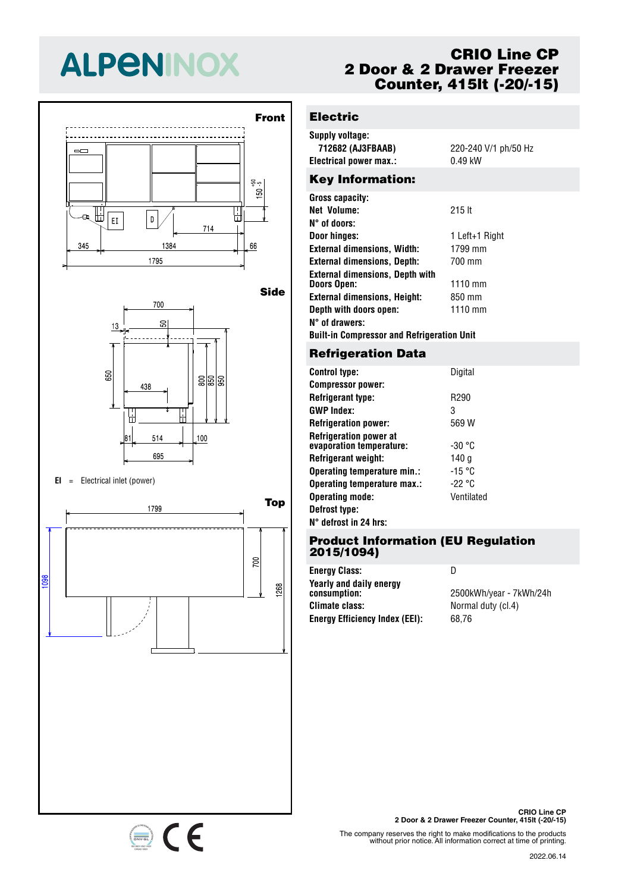# **ALPENINOX**



700 SO  $13$  $\frac{80}{850}$ |පි 438 H 岀 514 100 695

#### **EI** <sup>=</sup> Electrical inlet (power)

650



## **CRIO Line CP 2 Door & 2 Drawer Freezer Counter, 415lt (-20/-15)**

## **Electric**

| Supply voltage:         |                      |
|-------------------------|----------------------|
| 712682 (AJ3FBAAB)       | 220-240 V/1 ph/50 Hz |
| Electrical power max.:  | $0.49$ kW            |
| <b>Key Information:</b> |                      |
| <b>Gross capacity:</b>  |                      |

| Gross capacity:                                              |                |
|--------------------------------------------------------------|----------------|
| Net Volume:                                                  | $215$ It       |
| N° of doors:                                                 |                |
| Door hinges:                                                 | 1 Left+1 Right |
| <b>External dimensions, Width:</b>                           | 1799 mm        |
| <b>External dimensions, Depth:</b>                           | 700 mm         |
| <b>External dimensions, Depth with</b><br><b>Doors Open:</b> | 1110 mm        |
| <b>External dimensions, Height:</b>                          | 850 mm         |
| Depth with doors open:                                       | 1110 mm        |
| N° of drawers:                                               |                |
| <b>Built-in Compressor and Refrigeration Unit</b>            |                |

### **Refrigeration Data**

| <b>Control type:</b>                                      | Digital          |
|-----------------------------------------------------------|------------------|
| <b>Compressor power:</b>                                  |                  |
| <b>Refrigerant type:</b>                                  | R <sub>290</sub> |
| <b>GWP Index:</b>                                         | 3                |
| <b>Refrigeration power:</b>                               | 569 W            |
| <b>Refrigeration power at</b><br>evaporation temperature: | -30 °C           |
| <b>Refrigerant weight:</b>                                | 140 a            |
| Operating temperature min.:                               | -15 °C           |
| Operating temperature max.:                               | -22 °C           |
| <b>Operating mode:</b>                                    | Ventilated       |
| Defrost type:                                             |                  |
| $N^{\circ}$ defrost in 24 hrs:                            |                  |

#### **Product Information (EU Regulation 2015/1094)**

| <b>Energy Class:</b>                    | I)                      |
|-----------------------------------------|-------------------------|
| Yearly and daily energy<br>consumption: | 2500kWh/year - 7kWh/24h |
| <b>Climate class:</b>                   | Normal duty (cl.4)      |
| <b>Energy Efficiency Index (EEI):</b>   | 68.76                   |



The company reserves the right to make modifications to the products without prior notice. All information correct at time of printing.